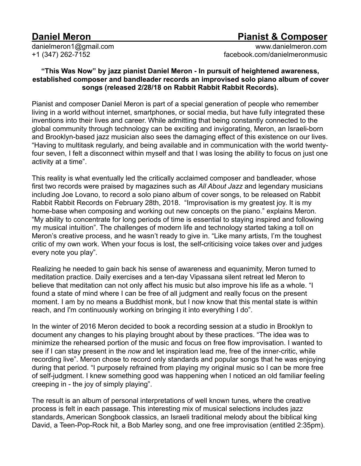## **Daniel Meron Pianist & Composer**

[danielmeron1@gmail.com](mailto:danielmeron1@gmail.com) [www.danielmeron.com](http://www.danielmeron.com) +1 (347) 262-7152 [facebook.com/danielmeronmusic](http://facebook.com/danielmeronmusic)

## **"This Was Now" by jazz pianist Daniel Meron - In pursuit of heightened awareness, established composer and bandleader records an improvised solo piano album of cover songs (released 2/28/18 on Rabbit Rabbit Rabbit Records).**

Pianist and composer Daniel Meron is part of a special generation of people who remember living in a world without internet, smartphones, or social media, but have fully integrated these inventions into their lives and career. While admitting that being constantly connected to the global community through technology can be exciting and invigorating, Meron, an Israeli-born and Brooklyn-based jazz musician also sees the damaging effect of this existence on our lives. "Having to multitask regularly, and being available and in communication with the world twentyfour seven, I felt a disconnect within myself and that I was losing the ability to focus on just one activity at a time".

This reality is what eventually led the critically acclaimed composer and bandleader, whose first two records were praised by magazines such as *All About Jazz* and legendary musicians including Joe Lovano, to record a solo piano album of cover songs, to be released on Rabbit Rabbit Rabbit Records on February 28th, 2018. "Improvisation is my greatest joy. It is my home-base when composing and working out new concepts on the piano." explains Meron. "My ability to concentrate for long periods of time is essential to staying inspired and following my musical intuition". The challenges of modern life and technology started taking a toll on Meron's creative process, and he wasn't ready to give in. "Like many artists, I'm the toughest critic of my own work. When your focus is lost, the self-criticising voice takes over and judges every note you play".

Realizing he needed to gain back his sense of awareness and equanimity, Meron turned to meditation practice. Daily exercises and a ten-day Vipassana silent retreat led Meron to believe that meditation can not only affect his music but also improve his life as a whole. "I found a state of mind where I can be free of all judgment and really focus on the present moment. I am by no means a Buddhist monk, but I now know that this mental state is within reach, and I'm continuously working on bringing it into everything I do".

In the winter of 2016 Meron decided to book a recording session at a studio in Brooklyn to document any changes to his playing brought about by these practices. "The idea was to minimize the rehearsed portion of the music and focus on free flow improvisation. I wanted to see if I can stay present in the *now* and let inspiration lead me, free of the inner-critic, while recording live". Meron chose to record only standards and popular songs that he was enjoying during that period. "I purposely refrained from playing my original music so I can be more free of self-judgment. I knew something good was happening when I noticed an old familiar feeling creeping in - the joy of simply playing".

The result is an album of personal interpretations of well known tunes, where the creative process is felt in each passage. This interesting mix of musical selections includes jazz standards, American Songbook classics, an Israeli traditional melody about the biblical king David, a Teen-Pop-Rock hit, a Bob Marley song, and one free improvisation (entitled 2:35pm).